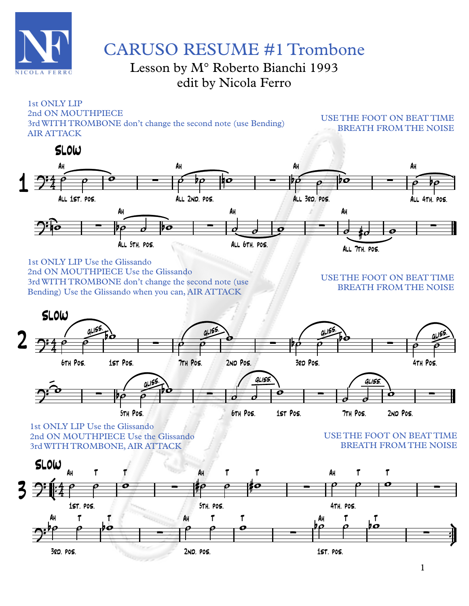

# CARUSO RESUME #1 Trombone

## Lesson by M° Roberto Bianchi 1993 edit by Nicola Ferro

#### 4  $\mathcal{P}^4$ Ah.<br>All 1st. pos. ∑ AhAll 2nd. pos. ∑ AhAll 3rd. pos. ∑ AhAll 4th. pos.  $\int$   $\int$   $\int$   $\frac{1}{2}$   $\int$   $\frac{1}{2}$   $\int$   $\frac{1}{2}$   $\int$   $\frac{1}{2}$   $\int$   $\frac{1}{2}$   $\int$   $\frac{1}{2}$   $\int$   $\frac{1}{2}$   $\int$   $\frac{1}{2}$   $\int$   $\frac{1}{2}$   $\int$   $\frac{1}{2}$   $\int$   $\frac{1}{2}$   $\int$   $\frac{1}{2}$   $\int$   $\frac{1}{2}$   $\int$   $\int$   $\frac{1}{$ AhAll 5th. pos. ∑ Ah All 6th. pos. ∑ Ah All 7th. pos. ∑  $\overrightarrow{\rho}$   $\overrightarrow{\rho}$   $\overrightarrow{\rho}$   $\overrightarrow{\rho}$   $\overrightarrow{\rho}$   $\overrightarrow{\rho}$   $\overrightarrow{\rho}$   $\overrightarrow{\rho}$   $\overrightarrow{\rho}$   $\overrightarrow{\rho}$   $\overrightarrow{\rho}$   $\overrightarrow{\rho}$   $\overrightarrow{\rho}$   $\overrightarrow{\rho}$   $\overrightarrow{\rho}$   $\overrightarrow{\rho}$   $\overrightarrow{\rho}$   $\overrightarrow{\rho}$  $\int_0^1 e^{-t} \left| \rho_0 \right| \rho_0 \left| \rho_0 \right| \left| \rho_0 \right| \left| \rho_0 \right| \left| \rho_0 \right| \left| \rho_0 \right| \left| \rho_0 \right| \left| \rho_0 \right|$ 1st ONLY LIP 2nd ON MOUTHPIECE 3rd WITH TROMBONE don't change the second note (use Bending) AIR ATTACK 1 USE THE FOOT ON BEAT TIME BREATH FROM THE NOISE 2 1st ONLY LIP Use the Glissando 2nd ON MOUTHPIECE Use the Glissando 3rd WITH TROMBONE don't change the second note (use Bending) Use the Glissando when you can, AIR ATTACK USE THE FOOT ON BEAT TIME BREATH FROM THE NOISE ∫<br>∫ ¢ —<br>" ™ ü † ™ ™ 4  $2^{r}$   $4^{r}$ Ah.<br>1st. pos. T T ∑ Ah.<br>5th. pos. TT T ∑ Ah4th. pos. TT T ∑  $\overline{\mathbf{P}}$ Ah3rd. pos. Tt t ∑ Ah 2nd. pos. T T ∑ Ah 1st. pos. T T ∑ ˙ ˙ w #˙ ˙ #w ˙ ˙ w  $\overrightarrow{b\rho}$   $\overrightarrow{\rho}$   $\overrightarrow{b\rho}$   $\overrightarrow{\rho}$   $\overrightarrow{b\rho}$   $\overrightarrow{\rho}$   $\overrightarrow{b\sigma}$ 3 1st ONLY LIP Use the Glissando 2nd ON MOUTHPIECE Use the Glissando 3rd WITH TROMBONE, AIR ATTACK USE THE FOOT ON BEAT TIME BREATH FROM THE NOISE 4  $\rightarrow$ **6TH POS**  Pos. 1st Pos. يحكلياه ∑ 7TH POS. Pos. 2nd Pos. gliss. ∑ .<br>3eo Pos. gliss. ∑ i<br>4th Pos. يحكله  $2^{\hat{o}}$  – i<br>5th Pos. يحكلياه ∑ **6TH POS.**  Pos. 1st Pos. gliss. ∑ 7TH POS. Pos. 2nd Pos. gliss. ∑  $\frac{1}{\rho}$   $\frac{9155}{\rho}$  $\phi \tilde{\phi}$  $\frac{1}{\rho}$  =  $\frac{1}{\rho}$   $\frac{1}{\rho}$  $\frac{1}{\rho}$   $\frac{1}{\rho}$  $\omega$  =  $\frac{1}{p} \frac{q_1 p_2}{\rho}$  $\overline{\sigma}$   $\sigma$  $\frac{1}{\mathbf{p}}$  $\overrightarrow{o}$  $\frac{1}{\mathbf{c}}$ SLOW **SLOW** SLOW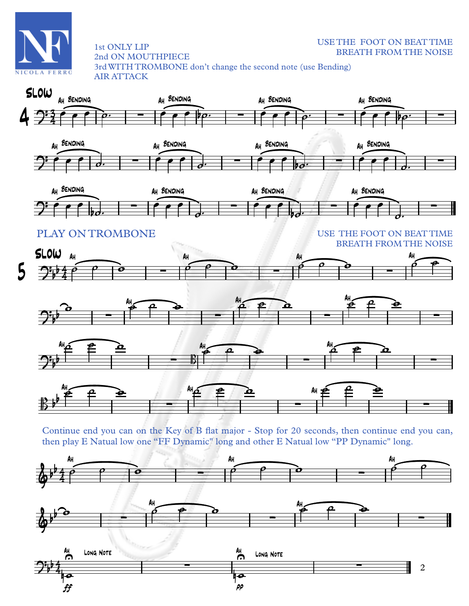

### USE THE FOOT ON BEAT TIME BREATH FROM THE NOISE

2nd ON MOUTHPIECE 3rd WITH TROMBONE don't change the second note (use Bending) AIR ATTACK









1st ONLY LIP

USE THE FOOT ON BEAT TIME BREATH FROM THE NOISE

∑







∑

Continue end you can on the Key of B flat major - Stop for 20 seconds, then continue end you can, then play E Natual low one "FF Dynamic" long and other E Natual low "PP Dynamic" long.

∑